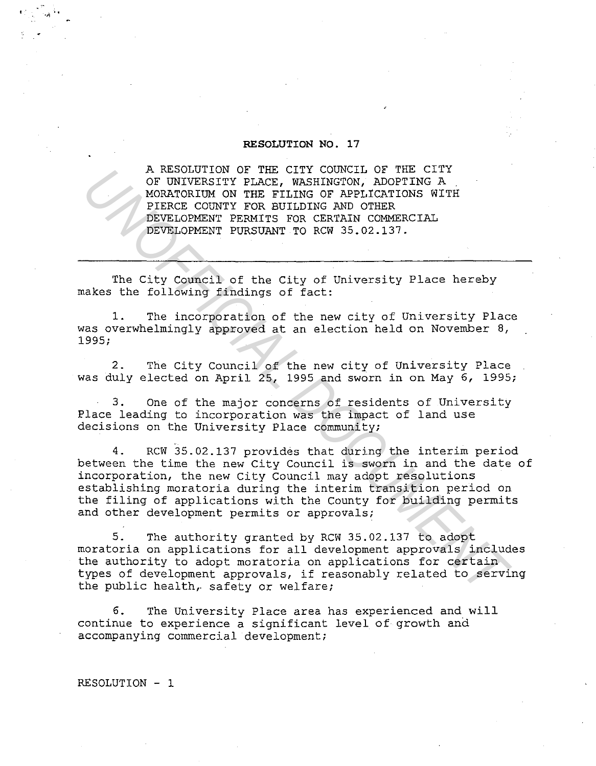## **RESOLUTION NO. 17**

A RESOLUTION OF THE CITY COUNCIL OF THE CITY OF UNIVERSITY PLACE, WASHINGTON, ADOPTING A MORATORIUM ON THE FILING OF APPLICATIONS WITH PIERCE COUNTY FOR BUILDING AND OTHER DEVELOPMENT PERMITS FOR CERTAIN COMMERCIAL DEVELOPMENT PURSUANT TO RCW 35.02.137.

The City Council of the City of University Place hereby makes the following findings of fact:

1. The incorporation of the new city of University Place was overwhelmingly approved at an election held on November 8, 1995;

2. The City Council of the new city of University Place was duly elected on April 25, 1995 and sworn in on May 6, 1995;

3. One of the major concerns of residents of University Place leading to incorporation was the impact of land use decisions on the University Place community;

4. RCW 35.02.137 provides that during the interim period between the time the new City Council is sworn in and the date of incorporation, the new City Council may adopt resolutions establishing moratoria during the interim transition period on the filing of applications with the County for building permits and other development permits or approvals; A RESOUTION OF THE CITY CONCIL OF THE CITY<br> *NOF UNIVERSITY PLACE, WASHINGTON, ADOPTING A*<br>
MORATORIUM ON THE FILING OF APPICATIONS WITH PIRECE COUNTY FOR BUILDING AND OTHER<br> *DEVELOPMENT PERMITS FOR CERTAIN COMMERCIAL*<br>

5. The authority granted by RCW 35.02.137 to adopt moratoria on applications for all development approvals includes the authority to adopt moratoria on applications for certain types of development approvals, if reasonably related to serving the public health, safety or welfare;

6. The University Place area has experienced and will continue to experience a significant level of growth and accompanying commercial development;

RESOLUTION - 1

..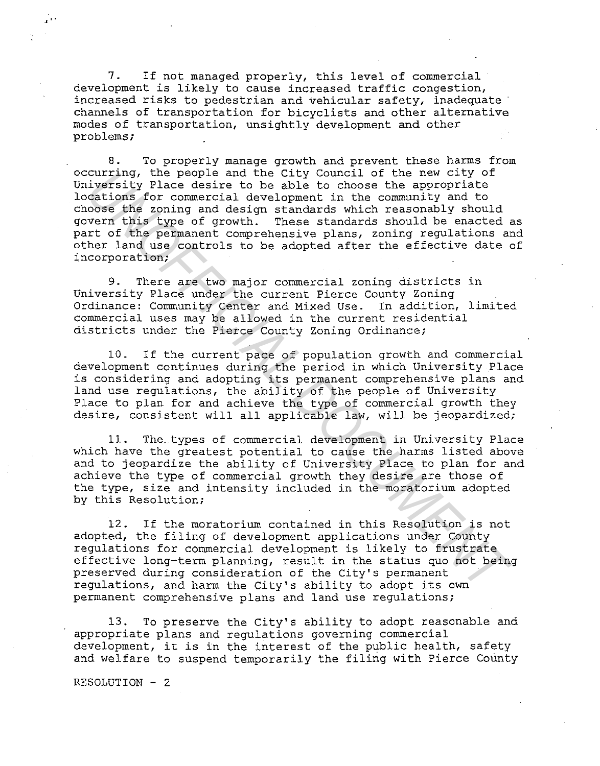7. If not managed properly, this level of commercial development is likely to cause increased traffic congestion, increased risks to pedestrian and vehicular safety, inadequate channels of transportation for bicyclists and other alternative modes of transportation, unsightly development and other problems;

8. To properly manage growth and prevent these harms from occurring, the people and the City Council of the new city of University Place desire to be able to choose the appropriate locations for commercial development in the community and to choose the zoning and design standards which reasonably should govern this type of growth. These standards should be enacted as part of the permanent comprehensive plans, zoning regulations and other land use controls to be adopted after the effective date of incorporation; curring, the people and the City Council of the new city<br>curring inversity Place desire to be able to choose the appropriate<br>coses the zoning and design standards which reasonably should<br>coses the zoning and design standar

9. There are two major commercial zoning districts in University Place under the current Pierce County Zoning Ordinance: Community Center and Mixed Use. In addition, limited commercial uses may be allowed in the current residential districts under the Pierce County Zoning Ordinance;

10. If the current pace of population growth and commercial development continues during the period in which University Place is considering and adopting its permanent comprehensive plans and land use regulations, the ability of the people of University Place to plan for and achieve the type of commercial growth they desire, consistent will all applicable law, will be jeopardized;

11. The. types of commercial development in University Place which have the greatest potential to cause the harms listed above and to jeopardize the ability of University Place to plan for and achieve the type of commercial growth they desire are those of the type, size and intensity included in the moratorium adopted by this Resolution;

12. If the moratorium contained in this Resolution is not adopted, the filing of development applications under County regulations for commercial development is likely to frustrate effective long-term planning, result in the status quo not being preserved during consideration of the City's permanent regulations, and harm the City's ability to adopt its own permanent comprehensive plans and land use regulations;

13. To preserve the City's ability to adopt reasonable and appropriate plans and regulations governing commercial development, it is in the interest of the public health, safety and welfare to suspend temporarily the filing with Pierce County

RESOLUTION - 2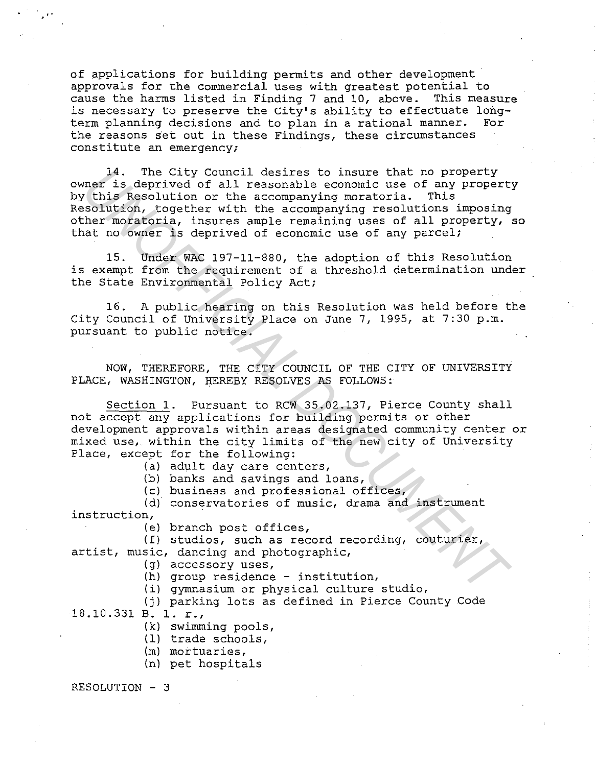of applications for building permits and other development approvals for the commercial uses with greatest potential to<br>cause the harms listed in Finding 7 and 10, above. This measure cause the harms listed in Finding 7 and 10, above. is necessary to preserve the City's ability to effectuate long-<br>term planning decisions and to plan in a rational manner. For term planning decisions and to plan in a rational manner. the reasons set out in these Findings, these circumstances constitute an emergency;

14. The City Council desires to insure that no property owner is deprived of all reasonable economic use of any property by this Resolution or the accompanying moratoria. This Resolution, together with the accompanying resolutions imposing other moratoria, insures ample remaining uses of all property, so that no owner is deprived of economic use of any parcel; 14. The City Council desires to insure that no property<br>is deprived of all reasonable economic use of any propert<br>mor is deprived of all reasonable economic use of any propert<br>solution, together with the accompanying resol

15. Under WAC 197-11-880, the adoption of this Resolution is exempt from the requirement of a threshold determination under the State Environmental Policy Act;

16. A public hearing on this Resolution was held before the City Council of University Place on June 7, 1995, at 7:30 p.m. pursuant to public notice.

NOW, THEREFORE, THE CITY COUNCIL OF THE CITY OF UNIVERSITY PLACE, WASHINGTON, HEREBY RESOLVES AS FOLLOWS:

Section 1. Pursuant to RCW 35.02.137, Pierce County shall not accept any applications for building permits or other development approvals within areas designated community center or mixed use, within the city limits of the new city of University Place, except for the following:

(a) adult day care centers,

(b) banks and savings and loans,

(c) business and professional offices,

(d) conservatories of music, drama and instrument instruction,

(e) branch post offices,

(f) studios, such as record recording, couturier, artist, music, dancing and photographic,

(g) accessory uses,

(h) group residence - institution,

(i) gymnasium or physical culture studio,

(j) parking lots as defined in Pierce County Code

18.10.331 B. 1. r.,

(k) swimming pools,

(1) trade schools,

(m) mortuaries,

(n) pet hospitals

RESOLUTION - 3

..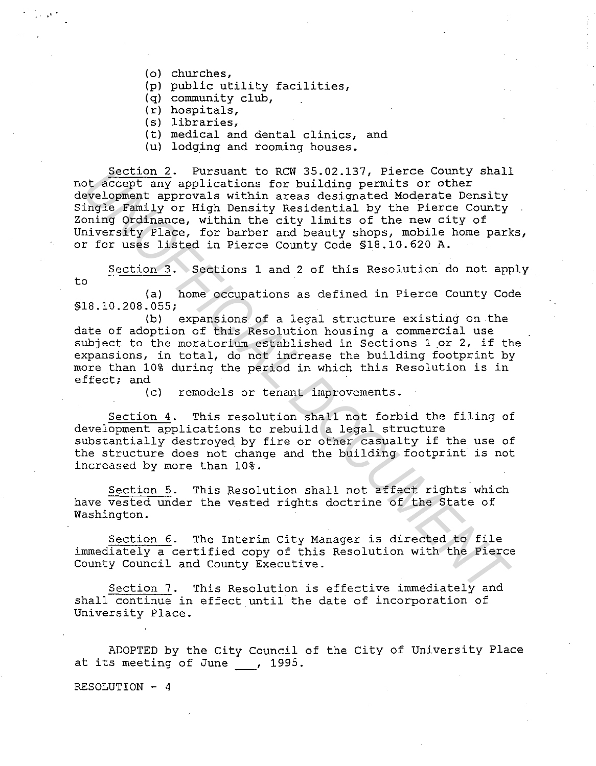{o) churches,

•'.

- {p) public utility facilities,
- {q) community club,
- $(r)$  hospitals,
- {s) libraries,
- {t) medical and dental clinics, and
- {u) lodging and rooming houses.

Section 2. Pursuant to RCW 35.02.137, Pierce County shall not accept any applications for building permits or other development approvals within areas designated Moderate Density Single Family or High Density Residential by the Pierce County Zoning Ordinance, within the city limits of the new city of University Place, for barber and beauty shops, mobile home parks, or for uses listed in Pierce County Code §18.10.620 A. Section 2. Pursuant to RCW 35.02.137, Pierce County shall<br>obserogle any applications for building permits or other<br>welopment approxima within areas designated Moderate Density<br>ingle Tamily or High Density Residential by th

Section 3. Sections 1 and 2 of this Resolution do not apply to

{a) home occupations as defined in Pierce County Code §18.10.208.055;

{b) expansions of a legal structure existing on the date of adoption of this Resolution housing a commercial use subject to the moratorium established in Sections 1 or 2, if the expansions, in total, do not increase the building footprint by more than 10% during the period in which this Resolution is in effect; and

{c) remodels or tenant improvements.

Section 4. This resolution shall not forbid the filing of development applications to rebuild a legal structure substantially destroyed by fire or other casualty if the use of the structure does not change and the building footprint is not increased by more than 10%.

Section 5. This Resolution shall not affect rights which have vested under the vested rights doctrine of the State of Washington.

Section 6. The Interim City Manager is directed to file immediately a certified copy of this Resolution with the Pierce County Council and County Executive.

Section 7. This Resolution is effective immediately and shall continue in effect until the date of incorporation of University Place.

ADOPTED by the City Council of the City of University Place at its meeting of June , 1995.

RESOLUTION - 4